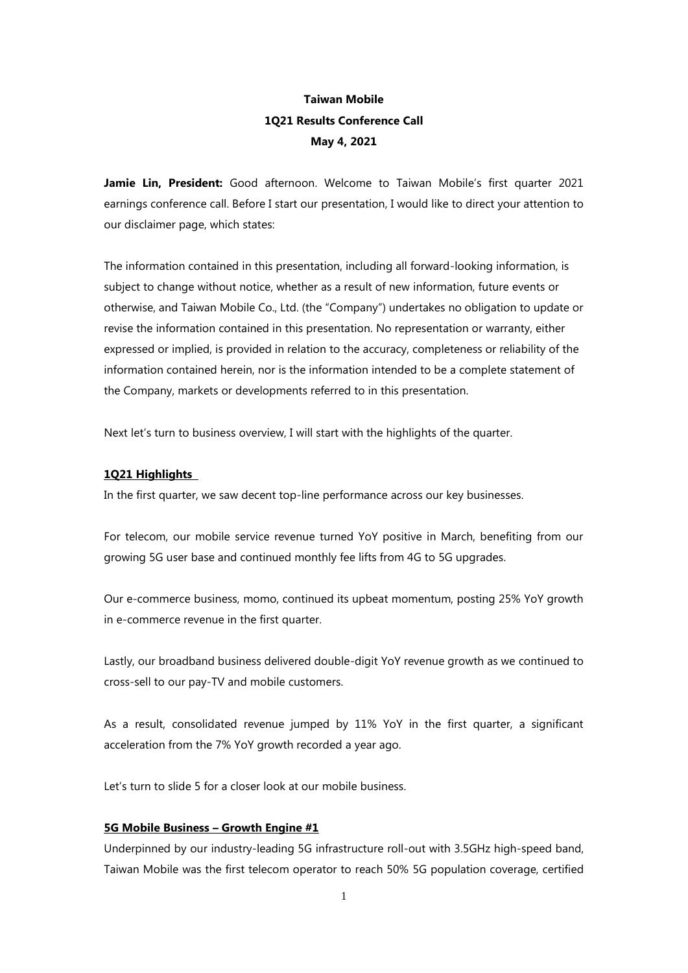# **Taiwan Mobile 1Q21 Results Conference Call May 4, 2021**

**Jamie Lin, President:** Good afternoon. Welcome to Taiwan Mobile's first quarter 2021 earnings conference call. Before I start our presentation, I would like to direct your attention to our disclaimer page, which states:

The information contained in this presentation, including all forward-looking information, is subject to change without notice, whether as a result of new information, future events or otherwise, and Taiwan Mobile Co., Ltd. (the "Company") undertakes no obligation to update or revise the information contained in this presentation. No representation or warranty, either expressed or implied, is provided in relation to the accuracy, completeness or reliability of the information contained herein, nor is the information intended to be a complete statement of the Company, markets or developments referred to in this presentation.

Next let's turn to business overview, I will start with the highlights of the quarter.

#### **1Q21 Highlights**

In the first quarter, we saw decent top-line performance across our key businesses.

For telecom, our mobile service revenue turned YoY positive in March, benefiting from our growing 5G user base and continued monthly fee lifts from 4G to 5G upgrades.

Our e-commerce business, momo, continued its upbeat momentum, posting 25% YoY growth in e-commerce revenue in the first quarter.

Lastly, our broadband business delivered double-digit YoY revenue growth as we continued to cross-sell to our pay-TV and mobile customers.

As a result, consolidated revenue jumped by 11% YoY in the first quarter, a significant acceleration from the 7% YoY growth recorded a year ago.

Let's turn to slide 5 for a closer look at our mobile business.

## **5G Mobile Business – Growth Engine #1**

Underpinned by our industry-leading 5G infrastructure roll-out with 3.5GHz high-speed band, Taiwan Mobile was the first telecom operator to reach 50% 5G population coverage, certified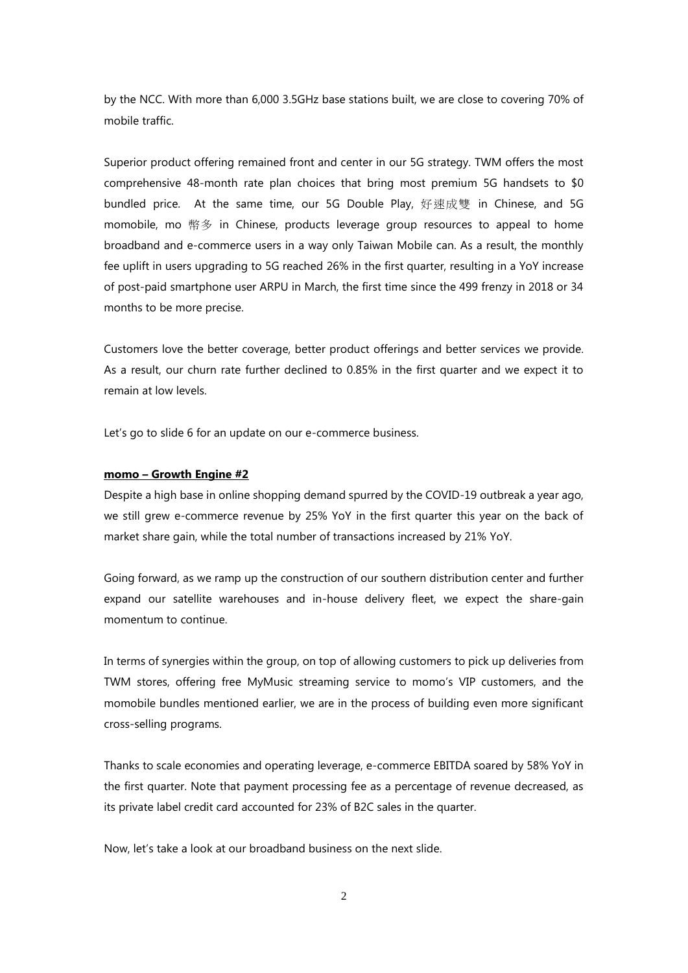by the NCC. With more than 6,000 3.5GHz base stations built, we are close to covering 70% of mobile traffic.

Superior product offering remained front and center in our 5G strategy. TWM offers the most comprehensive 48-month rate plan choices that bring most premium 5G handsets to \$0 bundled price. At the same time, our 5G Double Play, 好速成雙 in Chinese, and 5G momobile, mo 幣多 in Chinese, products leverage group resources to appeal to home broadband and e-commerce users in a way only Taiwan Mobile can. As a result, the monthly fee uplift in users upgrading to 5G reached 26% in the first quarter, resulting in a YoY increase of post-paid smartphone user ARPU in March, the first time since the 499 frenzy in 2018 or 34 months to be more precise.

Customers love the better coverage, better product offerings and better services we provide. As a result, our churn rate further declined to 0.85% in the first quarter and we expect it to remain at low levels.

Let's go to slide 6 for an update on our e-commerce business.

#### **momo – Growth Engine #2**

Despite a high base in online shopping demand spurred by the COVID-19 outbreak a year ago, we still grew e-commerce revenue by 25% YoY in the first quarter this year on the back of market share gain, while the total number of transactions increased by 21% YoY.

Going forward, as we ramp up the construction of our southern distribution center and further expand our satellite warehouses and in-house delivery fleet, we expect the share-gain momentum to continue.

In terms of synergies within the group, on top of allowing customers to pick up deliveries from TWM stores, offering free MyMusic streaming service to momo's VIP customers, and the momobile bundles mentioned earlier, we are in the process of building even more significant cross-selling programs.

Thanks to scale economies and operating leverage, e-commerce EBITDA soared by 58% YoY in the first quarter. Note that payment processing fee as a percentage of revenue decreased, as its private label credit card accounted for 23% of B2C sales in the quarter.

Now, let's take a look at our broadband business on the next slide.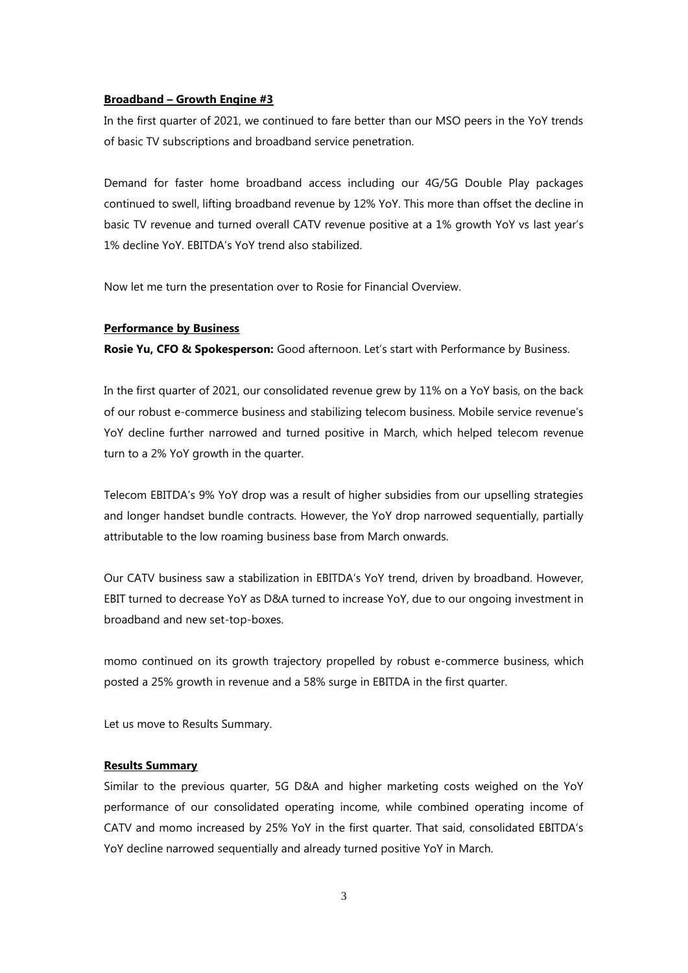#### **Broadband – Growth Engine #3**

In the first quarter of 2021, we continued to fare better than our MSO peers in the YoY trends of basic TV subscriptions and broadband service penetration.

Demand for faster home broadband access including our 4G/5G Double Play packages continued to swell, lifting broadband revenue by 12% YoY. This more than offset the decline in basic TV revenue and turned overall CATV revenue positive at a 1% growth YoY vs last year's 1% decline YoY. EBITDA's YoY trend also stabilized.

Now let me turn the presentation over to Rosie for Financial Overview.

### **Performance by Business**

**Rosie Yu, CFO & Spokesperson:** Good afternoon. Let's start with Performance by Business.

In the first quarter of 2021, our consolidated revenue grew by 11% on a YoY basis, on the back of our robust e-commerce business and stabilizing telecom business. Mobile service revenue's YoY decline further narrowed and turned positive in March, which helped telecom revenue turn to a 2% YoY growth in the quarter.

Telecom EBITDA's 9% YoY drop was a result of higher subsidies from our upselling strategies and longer handset bundle contracts. However, the YoY drop narrowed sequentially, partially attributable to the low roaming business base from March onwards.

Our CATV business saw a stabilization in EBITDA's YoY trend, driven by broadband. However, EBIT turned to decrease YoY as D&A turned to increase YoY, due to our ongoing investment in broadband and new set-top-boxes.

momo continued on its growth trajectory propelled by robust e-commerce business, which posted a 25% growth in revenue and a 58% surge in EBITDA in the first quarter.

Let us move to Results Summary.

### **Results Summary**

Similar to the previous quarter, 5G D&A and higher marketing costs weighed on the YoY performance of our consolidated operating income, while combined operating income of CATV and momo increased by 25% YoY in the first quarter. That said, consolidated EBITDA's YoY decline narrowed sequentially and already turned positive YoY in March.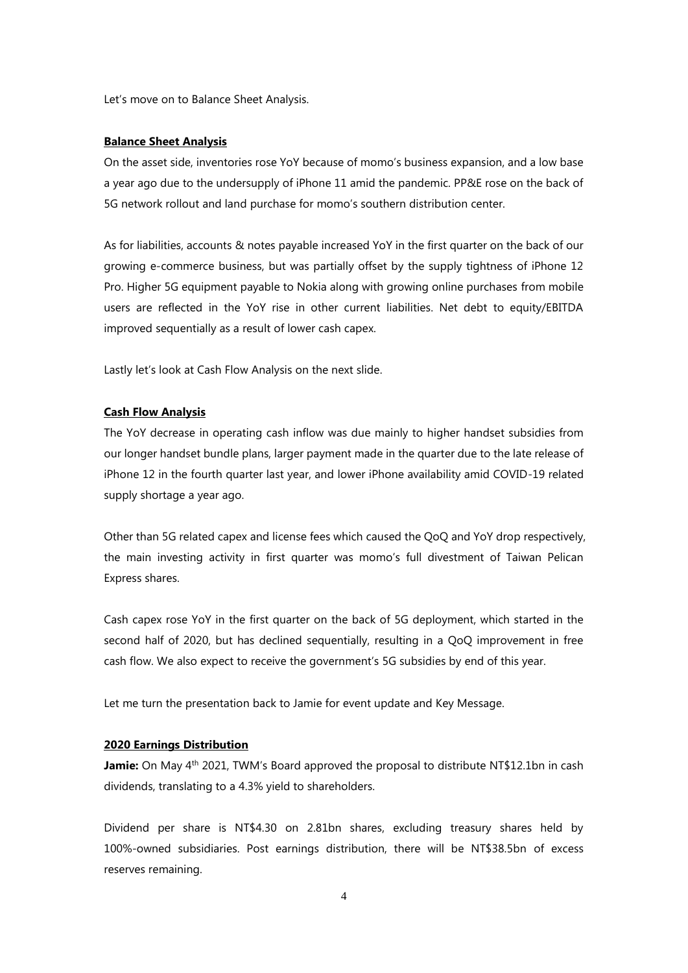Let's move on to Balance Sheet Analysis.

#### **Balance Sheet Analysis**

On the asset side, inventories rose YoY because of momo's business expansion, and a low base a year ago due to the undersupply of iPhone 11 amid the pandemic. PP&E rose on the back of 5G network rollout and land purchase for momo's southern distribution center.

As for liabilities, accounts & notes payable increased YoY in the first quarter on the back of our growing e-commerce business, but was partially offset by the supply tightness of iPhone 12 Pro. Higher 5G equipment payable to Nokia along with growing online purchases from mobile users are reflected in the YoY rise in other current liabilities. Net debt to equity/EBITDA improved sequentially as a result of lower cash capex.

Lastly let's look at Cash Flow Analysis on the next slide.

### **Cash Flow Analysis**

The YoY decrease in operating cash inflow was due mainly to higher handset subsidies from our longer handset bundle plans, larger payment made in the quarter due to the late release of iPhone 12 in the fourth quarter last year, and lower iPhone availability amid COVID-19 related supply shortage a year ago.

Other than 5G related capex and license fees which caused the QoQ and YoY drop respectively, the main investing activity in first quarter was momo's full divestment of Taiwan Pelican Express shares.

Cash capex rose YoY in the first quarter on the back of 5G deployment, which started in the second half of 2020, but has declined sequentially, resulting in a QoQ improvement in free cash flow. We also expect to receive the government's 5G subsidies by end of this year.

Let me turn the presentation back to Jamie for event update and Key Message.

## **2020 Earnings Distribution**

**Jamie:** On May 4<sup>th</sup> 2021, TWM's Board approved the proposal to distribute NT\$12.1bn in cash dividends, translating to a 4.3% yield to shareholders.

Dividend per share is NT\$4.30 on 2.81bn shares, excluding treasury shares held by 100%-owned subsidiaries. Post earnings distribution, there will be NT\$38.5bn of excess reserves remaining.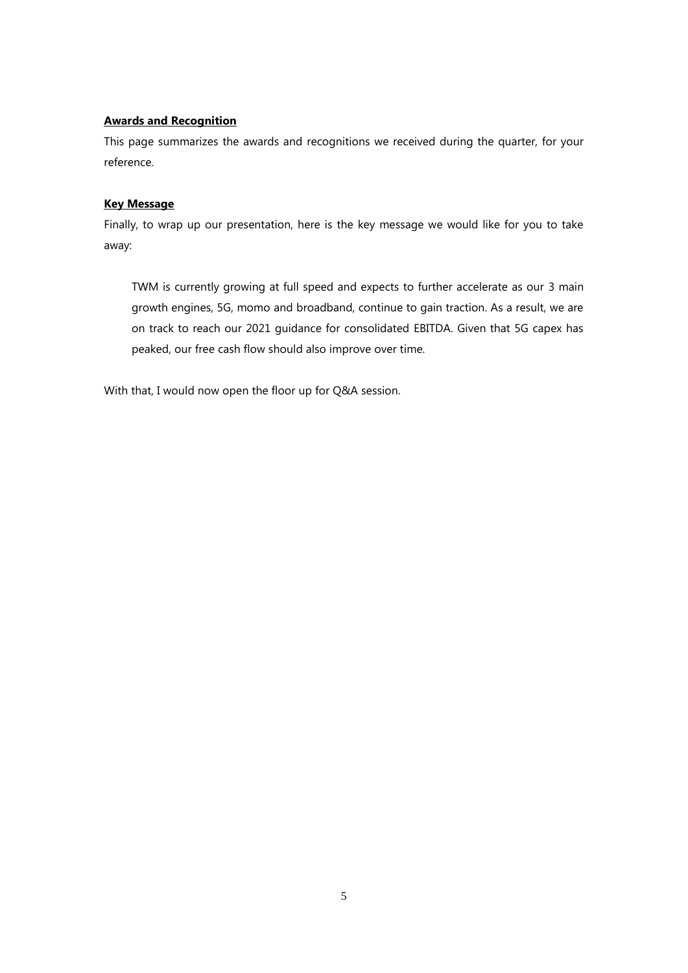# **Awards and Recognition**

This page summarizes the awards and recognitions we received during the quarter, for your reference.

# **Key Message**

Finally, to wrap up our presentation, here is the key message we would like for you to take away:

TWM is currently growing at full speed and expects to further accelerate as our 3 main growth engines, 5G, momo and broadband, continue to gain traction. As a result, we are on track to reach our 2021 guidance for consolidated EBITDA. Given that 5G capex has peaked, our free cash flow should also improve over time.

With that, I would now open the floor up for Q&A session.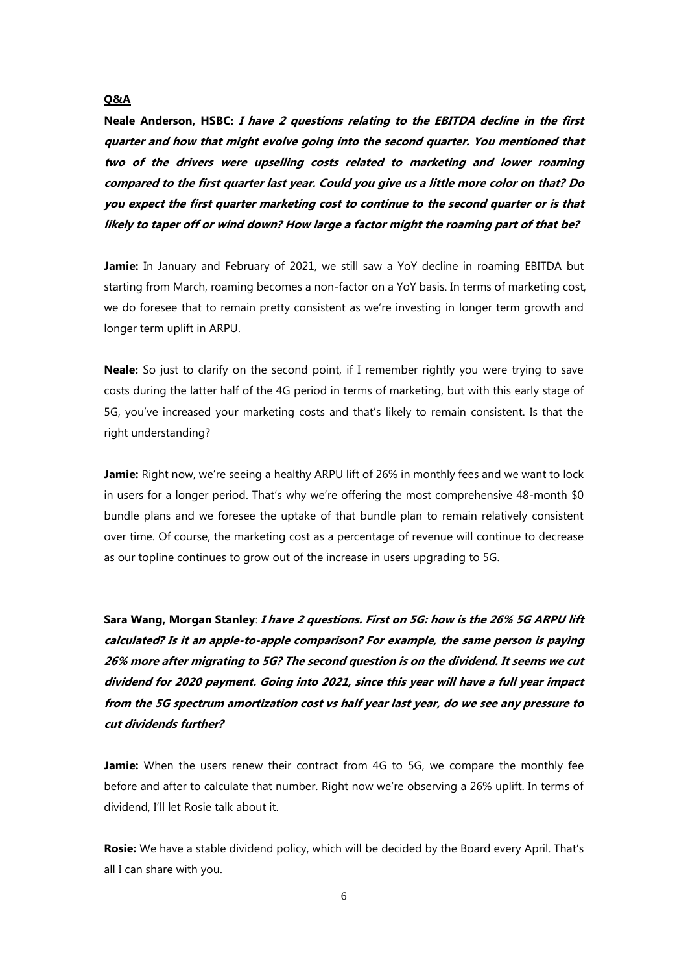## **Q&A**

**Neale Anderson, HSBC: I have 2 questions relating to the EBITDA decline in the first quarter and how that might evolve going into the second quarter. You mentioned that two of the drivers were upselling costs related to marketing and lower roaming compared to the first quarter last year. Could you give us a little more color on that? Do you expect the first quarter marketing cost to continue to the second quarter or is that likely to taper off or wind down? How large a factor might the roaming part of that be?**

Jamie: In January and February of 2021, we still saw a YoY decline in roaming EBITDA but starting from March, roaming becomes a non-factor on a YoY basis. In terms of marketing cost, we do foresee that to remain pretty consistent as we're investing in longer term growth and longer term uplift in ARPU.

**Neale:** So just to clarify on the second point, if I remember rightly you were trying to save costs during the latter half of the 4G period in terms of marketing, but with this early stage of 5G, you've increased your marketing costs and that's likely to remain consistent. Is that the right understanding?

Jamie: Right now, we're seeing a healthy ARPU lift of 26% in monthly fees and we want to lock in users for a longer period. That's why we're offering the most comprehensive 48-month \$0 bundle plans and we foresee the uptake of that bundle plan to remain relatively consistent over time. Of course, the marketing cost as a percentage of revenue will continue to decrease as our topline continues to grow out of the increase in users upgrading to 5G.

**Sara Wang, Morgan Stanley**: **I have 2 questions. First on 5G: how is the 26% 5G ARPU lift calculated? Is it an apple-to-apple comparison? For example, the same person is paying 26% more after migrating to 5G? The second question is on the dividend. It seems we cut dividend for 2020 payment. Going into 2021, since this year will have a full year impact from the 5G spectrum amortization cost vs half year last year, do we see any pressure to cut dividends further?** 

**Jamie:** When the users renew their contract from 4G to 5G, we compare the monthly fee before and after to calculate that number. Right now we're observing a 26% uplift. In terms of dividend, I'll let Rosie talk about it.

**Rosie:** We have a stable dividend policy, which will be decided by the Board every April. That's all I can share with you.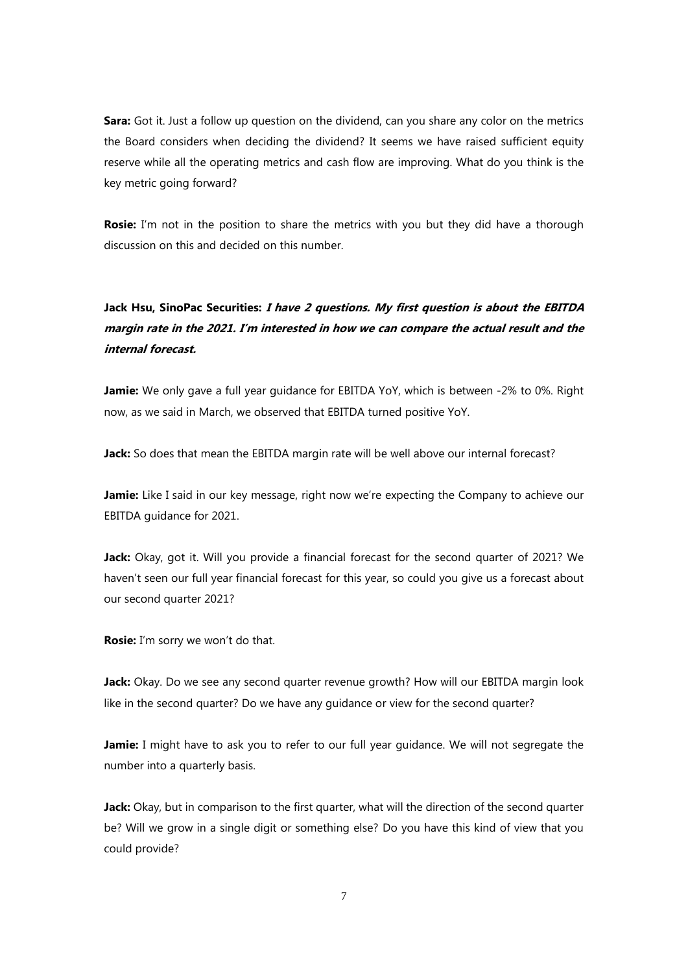**Sara:** Got it. Just a follow up question on the dividend, can you share any color on the metrics the Board considers when deciding the dividend? It seems we have raised sufficient equity reserve while all the operating metrics and cash flow are improving. What do you think is the key metric going forward?

**Rosie:** I'm not in the position to share the metrics with you but they did have a thorough discussion on this and decided on this number.

# **Jack Hsu, SinoPac Securities: <sup>I</sup> have 2 questions. My first question is about the EBITDA margin rate in the 2021. I'm interested in how we can compare the actual result and the internal forecast.**

**Jamie:** We only gave a full year guidance for EBITDA YoY, which is between -2% to 0%. Right now, as we said in March, we observed that EBITDA turned positive YoY.

**Jack:** So does that mean the EBITDA margin rate will be well above our internal forecast?

Jamie: Like I said in our key message, right now we're expecting the Company to achieve our EBITDA guidance for 2021.

**Jack:** Okay, got it. Will you provide a financial forecast for the second quarter of 2021? We haven't seen our full year financial forecast for this year, so could you give us a forecast about our second quarter 2021?

**Rosie:** I'm sorry we won't do that.

**Jack:** Okay. Do we see any second quarter revenue growth? How will our EBITDA margin look like in the second quarter? Do we have any guidance or view for the second quarter?

**Jamie:** I might have to ask you to refer to our full year guidance. We will not segregate the number into a quarterly basis.

**Jack:** Okay, but in comparison to the first quarter, what will the direction of the second quarter be? Will we grow in a single digit or something else? Do you have this kind of view that you could provide?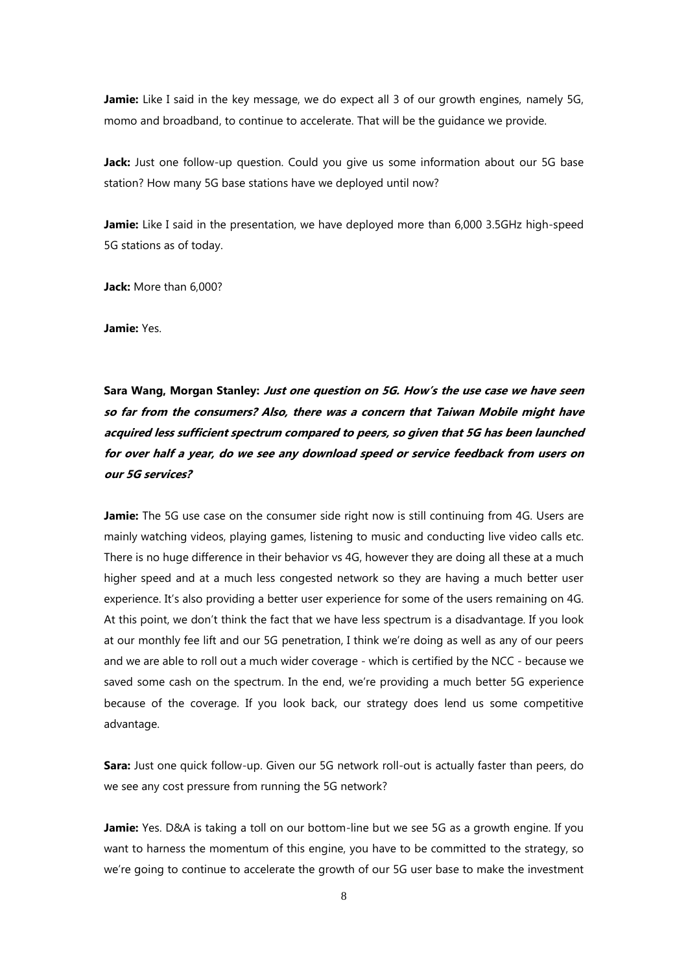Jamie: Like I said in the key message, we do expect all 3 of our growth engines, namely 5G, momo and broadband, to continue to accelerate. That will be the guidance we provide.

Jack: Just one follow-up question. Could you give us some information about our 5G base station? How many 5G base stations have we deployed until now?

Jamie: Like I said in the presentation, we have deployed more than 6,000 3.5GHz high-speed 5G stations as of today.

**Jack:** More than 6,000?

**Jamie:** Yes.

**Sara Wang, Morgan Stanley: Just one question on 5G. How's the use case we have seen so far from the consumers? Also, there was a concern that Taiwan Mobile might have acquired less sufficient spectrum compared to peers, so given that 5G has been launched for over half <sup>a</sup> year, do we see any download speed or service feedback from users on our 5G services?**

**Jamie:** The 5G use case on the consumer side right now is still continuing from 4G. Users are mainly watching videos, playing games, listening to music and conducting live video calls etc. There is no huge difference in their behavior vs 4G, however they are doing all these at a much higher speed and at a much less congested network so they are having a much better user experience. It's also providing a better user experience for some of the users remaining on 4G. At this point, we don't think the fact that we have less spectrum is a disadvantage. If you look at our monthly fee lift and our 5G penetration, I think we're doing as well as any of our peers and we are able to roll out a much wider coverage - which is certified by the NCC - because we saved some cash on the spectrum. In the end, we're providing a much better 5G experience because of the coverage. If you look back, our strategy does lend us some competitive advantage.

**Sara:** Just one quick follow-up. Given our 5G network roll-out is actually faster than peers, do we see any cost pressure from running the 5G network?

Jamie: Yes. D&A is taking a toll on our bottom-line but we see 5G as a growth engine. If you want to harness the momentum of this engine, you have to be committed to the strategy, so we're going to continue to accelerate the growth of our 5G user base to make the investment